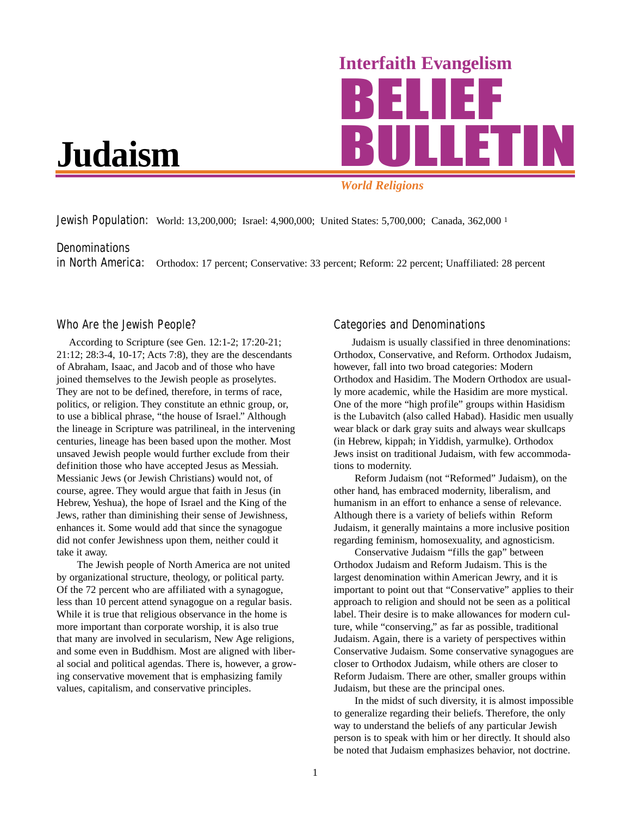

# *World Religions*

**Jewish Population:** World: 13,200,000; Israel: 4,900,000; United States: 5,700,000; Canada, 362,000<sup>1</sup>

# **Denominations**

in North America: Orthodox: 17 percent; Conservative: 33 percent; Reform: 22 percent; Unaffiliated: 28 percent

### Who Are the Jewish People?

According to Scripture (see Gen. 12:1-2; 17:20-21; 21:12; 28:3-4, 10-17; Acts 7:8), they are the descendants of Abraham, Isaac, and Jacob and of those who have joined themselves to the Jewish people as proselytes. They are not to be defined, therefore, in terms of race, politics, or religion. They constitute an ethnic group, or, to use a biblical phrase, "the house of Israel." Although the lineage in Scripture was patrilineal, in the intervening centuries, lineage has been based upon the mother. Most unsaved Jewish people would further exclude from their definition those who have accepted Jesus as Messiah. Messianic Jews (or Jewish Christians) would not, of course, agree. They would argue that faith in Jesus (in Hebrew, Yeshua), the hope of Israel and the King of the Jews, rather than diminishing their sense of Jewishness, enhances it. Some would add that since the synagogue did not confer Jewishness upon them, neither could it take it away.

The Jewish people of North America are not united by organizational structure, theology, or political party. Of the 72 percent who are affiliated with a synagogue, less than 10 percent attend synagogue on a regular basis. While it is true that religious observance in the home is more important than corporate worship, it is also true that many are involved in secularism, New Age religions, and some even in Buddhism. Most are aligned with liberal social and political agendas. There is, however, a growing conservative movement that is emphasizing family values, capitalism, and conservative principles.

## Categories and Denominations

Judaism is usually classified in three denominations: Orthodox, Conservative, and Reform. Orthodox Judaism, however, fall into two broad categories: Modern Orthodox and Hasidim. The Modern Orthodox are usually more academic, while the Hasidim are more mystical. One of the more "high profile" groups within Hasidism is the Lubavitch (also called Habad). Hasidic men usually wear black or dark gray suits and always wear skullcaps (in Hebrew, kippah; in Yiddish, yarmulke). Orthodox Jews insist on traditional Judaism, with few accommodations to modernity.

Reform Judaism (not "Reformed" Judaism), on the other hand, has embraced modernity, liberalism, and humanism in an effort to enhance a sense of relevance. Although there is a variety of beliefs within Reform Judaism, it generally maintains a more inclusive position regarding feminism, homosexuality, and agnosticism.

Conservative Judaism "fills the gap" between Orthodox Judaism and Reform Judaism. This is the largest denomination within American Jewry, and it is important to point out that "Conservative" applies to their approach to religion and should not be seen as a political label. Their desire is to make allowances for modern culture, while "conserving," as far as possible, traditional Judaism. Again, there is a variety of perspectives within Conservative Judaism. Some conservative synagogues are closer to Orthodox Judaism, while others are closer to Reform Judaism. There are other, smaller groups within Judaism, but these are the principal ones.

In the midst of such diversity, it is almost impossible to generalize regarding their beliefs. Therefore, the only way to understand the beliefs of any particular Jewish person is to speak with him or her directly. It should also be noted that Judaism emphasizes behavior, not doctrine.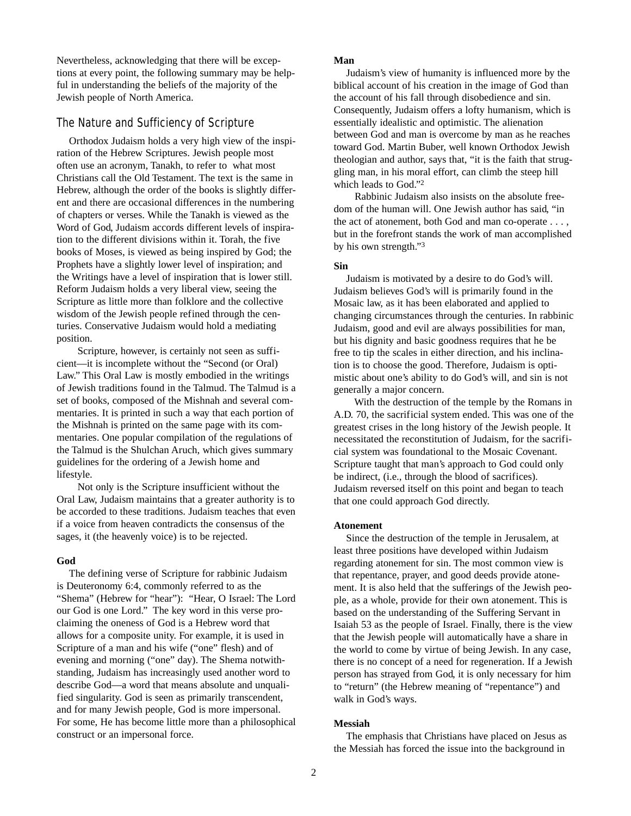Nevertheless, acknowledging that there will be exceptions at every point, the following summary may be helpful in understanding the beliefs of the majority of the Jewish people of North America.

# The Nature and Sufficiency of Scripture

Orthodox Judaism holds a very high view of the inspiration of the Hebrew Scriptures. Jewish people most often use an acronym, Tanakh, to refer to what most Christians call the Old Testament. The text is the same in Hebrew, although the order of the books is slightly different and there are occasional differences in the numbering of chapters or verses. While the Tanakh is viewed as the Word of God, Judaism accords different levels of inspiration to the different divisions within it. Torah, the five books of Moses, is viewed as being inspired by God; the Prophets have a slightly lower level of inspiration; and the Writings have a level of inspiration that is lower still. Reform Judaism holds a very liberal view, seeing the Scripture as little more than folklore and the collective wisdom of the Jewish people refined through the centuries. Conservative Judaism would hold a mediating position.

Scripture, however, is certainly not seen as sufficient––it is incomplete without the "Second (or Oral) Law." This Oral Law is mostly embodied in the writings of Jewish traditions found in the Talmud. The Talmud is a set of books, composed of the Mishnah and several commentaries. It is printed in such a way that each portion of the Mishnah is printed on the same page with its commentaries. One popular compilation of the regulations of the Talmud is the Shulchan Aruch, which gives summary guidelines for the ordering of a Jewish home and lifestyle.

Not only is the Scripture insufficient without the Oral Law, Judaism maintains that a greater authority is to be accorded to these traditions. Judaism teaches that even if a voice from heaven contradicts the consensus of the sages, it (the heavenly voice) is to be rejected.

### **God**

The defining verse of Scripture for rabbinic Judaism is Deuteronomy 6:4, commonly referred to as the "Shema" (Hebrew for "hear"): "Hear, O Israel: The Lord our God is one Lord." The key word in this verse proclaiming the oneness of God is a Hebrew word that allows for a composite unity. For example, it is used in Scripture of a man and his wife ("one" flesh) and of evening and morning ("one" day). The Shema notwithstanding, Judaism has increasingly used another word to describe God––a word that means absolute and unqualified singularity. God is seen as primarily transcendent, and for many Jewish people, God is more impersonal. For some, He has become little more than a philosophical construct or an impersonal force.

#### **Man**

Judaism's view of humanity is influenced more by the biblical account of his creation in the image of God than the account of his fall through disobedience and sin. Consequently, Judaism offers a lofty humanism, which is essentially idealistic and optimistic. The alienation between God and man is overcome by man as he reaches toward God. Martin Buber, well known Orthodox Jewish theologian and author, says that, "it is the faith that struggling man, in his moral effort, can climb the steep hill which leads to God."2

Rabbinic Judaism also insists on the absolute freedom of the human will. One Jewish author has said, "in the act of atonement, both God and man co-operate . . . , but in the forefront stands the work of man accomplished by his own strength."3

#### **Sin**

Judaism is motivated by a desire to do God's will. Judaism believes God's will is primarily found in the Mosaic law, as it has been elaborated and applied to changing circumstances through the centuries. In rabbinic Judaism, good and evil are always possibilities for man, but his dignity and basic goodness requires that he be free to tip the scales in either direction, and his inclination is to choose the good. Therefore, Judaism is optimistic about one's ability to do God's will, and sin is not generally a major concern.

With the destruction of the temple by the Romans in A.D. 70, the sacrificial system ended. This was one of the greatest crises in the long history of the Jewish people. It necessitated the reconstitution of Judaism, for the sacrificial system was foundational to the Mosaic Covenant. Scripture taught that man's approach to God could only be indirect, (i.e., through the blood of sacrifices). Judaism reversed itself on this point and began to teach that one could approach God directly.

### **Atonement**

Since the destruction of the temple in Jerusalem, at least three positions have developed within Judaism regarding atonement for sin. The most common view is that repentance, prayer, and good deeds provide atonement. It is also held that the sufferings of the Jewish people, as a whole, provide for their own atonement. This is based on the understanding of the Suffering Servant in Isaiah 53 as the people of Israel. Finally, there is the view that the Jewish people will automatically have a share in the world to come by virtue of being Jewish. In any case, there is no concept of a need for regeneration. If a Jewish person has strayed from God, it is only necessary for him to "return" (the Hebrew meaning of "repentance") and walk in God's ways.

### **Messiah**

The emphasis that Christians have placed on Jesus as the Messiah has forced the issue into the background in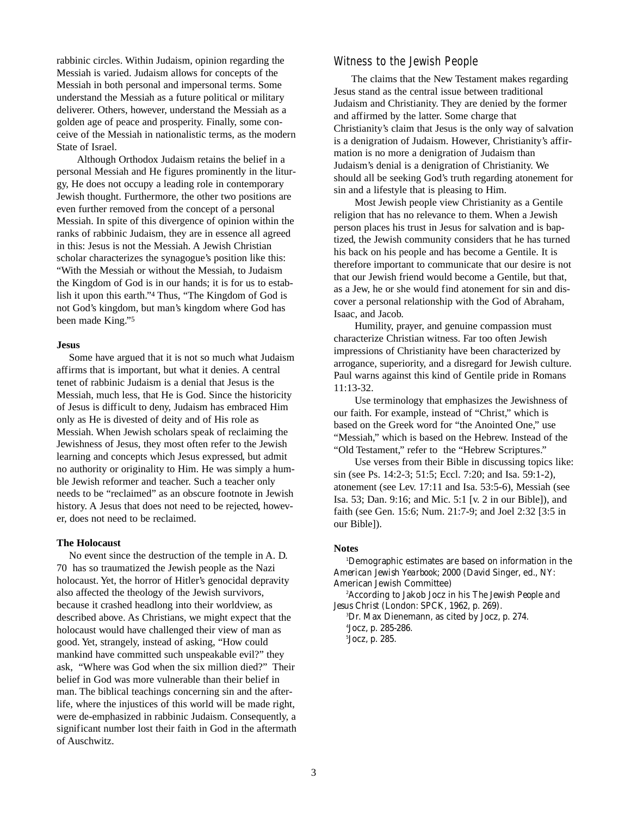rabbinic circles. Within Judaism, opinion regarding the Messiah is varied. Judaism allows for concepts of the Messiah in both personal and impersonal terms. Some understand the Messiah as a future political or military deliverer. Others, however, understand the Messiah as a golden age of peace and prosperity. Finally, some conceive of the Messiah in nationalistic terms, as the modern State of Israel.

Although Orthodox Judaism retains the belief in a personal Messiah and He figures prominently in the liturgy, He does not occupy a leading role in contemporary Jewish thought. Furthermore, the other two positions are even further removed from the concept of a personal Messiah. In spite of this divergence of opinion within the ranks of rabbinic Judaism, they are in essence all agreed in this: Jesus is not the Messiah. A Jewish Christian scholar characterizes the synagogue's position like this: "With the Messiah or without the Messiah, to Judaism the Kingdom of God is in our hands; it is for us to establish it upon this earth."4 Thus, "The Kingdom of God is not God's kingdom, but man's kingdom where God has been made King."5

#### **Jesus**

Some have argued that it is not so much what Judaism affirms that is important, but what it denies. A central tenet of rabbinic Judaism is a denial that Jesus is the Messiah, much less, that He is God. Since the historicity of Jesus is difficult to deny, Judaism has embraced Him only as He is divested of deity and of His role as Messiah. When Jewish scholars speak of reclaiming the Jewishness of Jesus, they most often refer to the Jewish learning and concepts which Jesus expressed, but admit no authority or originality to Him. He was simply a humble Jewish reformer and teacher. Such a teacher only needs to be "reclaimed" as an obscure footnote in Jewish history. A Jesus that does not need to be rejected, however, does not need to be reclaimed.

#### **The Holocaust**

No event since the destruction of the temple in A. D. 70 has so traumatized the Jewish people as the Nazi holocaust. Yet, the horror of Hitler's genocidal depravity also affected the theology of the Jewish survivors, because it crashed headlong into their worldview, as described above. As Christians, we might expect that the holocaust would have challenged their view of man as good. Yet, strangely, instead of asking, "How could mankind have committed such unspeakable evil?" they ask, "Where was God when the six million died?" Their belief in God was more vulnerable than their belief in man. The biblical teachings concerning sin and the afterlife, where the injustices of this world will be made right, were de-emphasized in rabbinic Judaism. Consequently, a significant number lost their faith in God in the aftermath of Auschwitz.

# Witness to the Jewish People

The claims that the New Testament makes regarding Jesus stand as the central issue between traditional Judaism and Christianity. They are denied by the former and affirmed by the latter. Some charge that Christianity's claim that Jesus is the only way of salvation is a denigration of Judaism. However, Christianity's affirmation is no more a denigration of Judaism than Judaism's denial is a denigration of Christianity. We should all be seeking God's truth regarding atonement for sin and a lifestyle that is pleasing to Him.

Most Jewish people view Christianity as a Gentile religion that has no relevance to them. When a Jewish person places his trust in Jesus for salvation and is baptized, the Jewish community considers that he has turned his back on his people and has become a Gentile. It is therefore important to communicate that our desire is not that our Jewish friend would become a Gentile, but that, as a Jew, he or she would find atonement for sin and discover a personal relationship with the God of Abraham, Isaac, and Jacob.

Humility, prayer, and genuine compassion must characterize Christian witness. Far too often Jewish impressions of Christianity have been characterized by arrogance, superiority, and a disregard for Jewish culture. Paul warns against this kind of Gentile pride in Romans 11:13-32.

Use terminology that emphasizes the Jewishness of our faith. For example, instead of "Christ," which is based on the Greek word for "the Anointed One," use "Messiah," which is based on the Hebrew. Instead of the "Old Testament," refer to the "Hebrew Scriptures."

Use verses from their Bible in discussing topics like: sin (see Ps. 14:2-3; 51:5; Eccl. 7:20; and Isa. 59:1-2), atonement (see Lev. 17:11 and Isa. 53:5-6), Messiah (see Isa. 53; Dan. 9:16; and Mic. 5:1 [v. 2 in our Bible]), and faith (see Gen. 15:6; Num. 21:7-9; and Joel 2:32 [3:5 in our Bible]).

#### **Notes**

1 Demographic estimates are based on information in the *American Jewish Yearbook*; 2000 (David Singer, ed., NY: American Jewish Committee)

2 According to Jakob Jocz in his *The Jewish People and Jesus Christ* (London: SPCK, 1962, p. 269).

3 Dr. Max Dienemann, as cited by Jocz, p. 274. 4 Jocz, p. 285-286. 5 Jocz, p. 285.